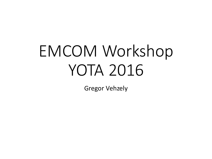# EMCOM Workshop YOTA 2016

Gregor Vehzely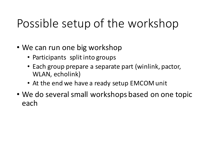# Possible setup of the workshop

- We can run one big workshop
	- Participants split into groups
	- Each group prepare a separate part (winlink, pactor, WLAN, echolink)
	- At the end we have a ready setup EMCOM unit
- We do several small workshops based on one topic each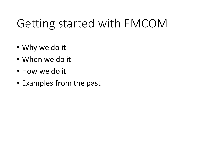# Getting started with EMCOM

- Why we do it
- When we do it
- How we do it
- Examples from the past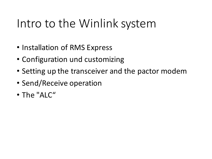### Intro to the Winlink system

- Installation of RMS Express
- Configuration und customizing
- Setting up the transceiver and the pactor modem
- Send/Receive operation
- The "ALC"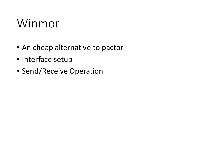#### Winmor

- An cheap alternative to pactor
- Interface setup
- Send/Receive Operation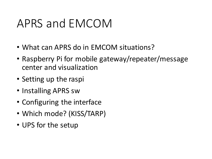#### APRS and EMCOM

- What can APRS do in EMCOM situations?
- Raspberry Pi for mobile gateway/repeater/message center and visualization
- Setting up the raspi
- Installing APRS sw
- Configuring the interface
- Which mode? (KISS/TARP)
- UPS for the setup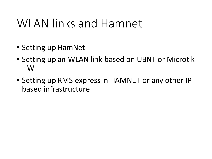#### WLAN links and Hamnet

- Setting up HamNet
- Setting up an WLAN link based on UBNT or Microtik HW
- Setting up RMS express in HAMNET or any other IP based infrastructure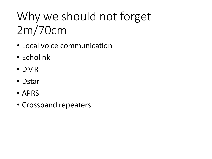# Why we should not forget 2m/70cm

- Local voice communication
- Echolink
- DMR
- Dstar
- APRS
- Crossband repeaters